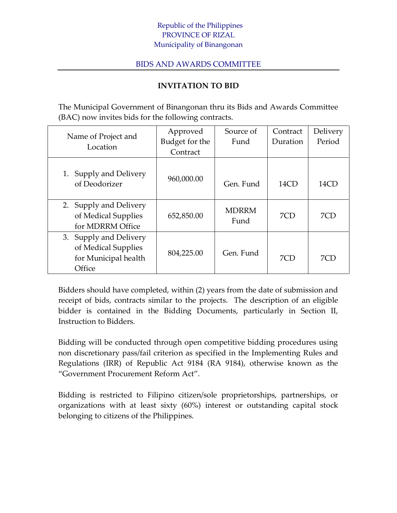## Republic of the Philippines PROVINCE OF RIZAL Municipality of Binangonan

## BIDS AND AWARDS COMMITTEE

## **INVITATION TO BID**

The Municipal Government of Binangonan thru its Bids and Awards Committee (BAC) now invites bids for the following contracts.

| Name of Project and<br>Location                                                 | Approved       | Source of            | Contract | Delivery |
|---------------------------------------------------------------------------------|----------------|----------------------|----------|----------|
|                                                                                 | Budget for the | Fund                 | Duration | Period   |
|                                                                                 | Contract       |                      |          |          |
| 1. Supply and Delivery<br>of Deodorizer                                         | 960,000.00     | Gen. Fund            | 14CD     | 14CD     |
| 2. Supply and Delivery<br>of Medical Supplies<br>for MDRRM Office               | 652,850.00     | <b>MDRRM</b><br>Fund | 7CD      | 7CD      |
| 3. Supply and Delivery<br>of Medical Supplies<br>for Municipal health<br>Office | 804,225.00     | Gen. Fund            | 7CD      | 7CD      |

Bidders should have completed, within (2) years from the date of submission and receipt of bids, contracts similar to the projects. The description of an eligible bidder is contained in the Bidding Documents, particularly in Section II, Instruction to Bidders.

Bidding will be conducted through open competitive bidding procedures using non discretionary pass/fail criterion as specified in the Implementing Rules and Regulations (IRR) of Republic Act 9184 (RA 9184), otherwise known as the "Government Procurement Reform Act".

Bidding is restricted to Filipino citizen/sole proprietorships, partnerships, or organizations with at least sixty (60%) interest or outstanding capital stock belonging to citizens of the Philippines.